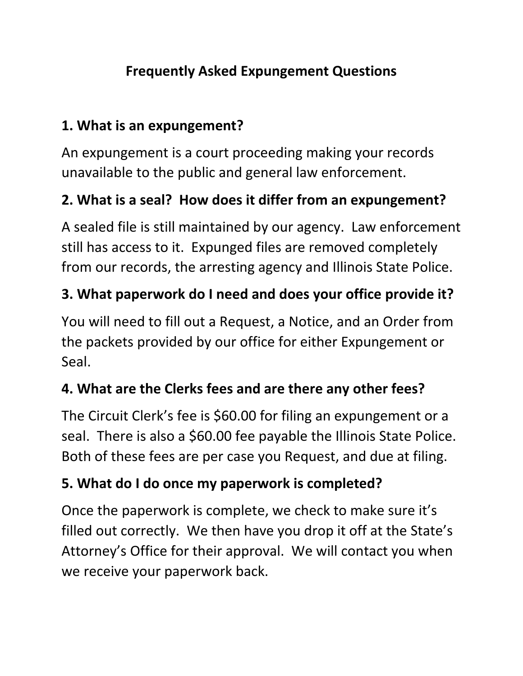### **Frequently Asked Expungement Questions**

#### **1. What is an expungement?**

An expungement is a court proceeding making your records unavailable to the public and general law enforcement.

#### **2. What is a seal? How does it differ from an expungement?**

A sealed file is still maintained by our agency. Law enforcement still has access to it. Expunged files are removed completely from our records, the arresting agency and Illinois State Police.

#### **3. What paperwork do I need and does your office provide it?**

You will need to fill out a Request, a Notice, and an Order from the packets provided by our office for either Expungement or Seal.

#### **4. What are the Clerks fees and are there any other fees?**

The Circuit Clerk's fee is \$60.00 for filing an expungement or a seal. There is also a \$60.00 fee payable the Illinois State Police. Both of these fees are per case you Request, and due at filing.

#### **5. What do I do once my paperwork is completed?**

Once the paperwork is complete, we check to make sure it's filled out correctly. We then have you drop it off at the State's Attorney's Office for their approval. We will contact you when we receive your paperwork back.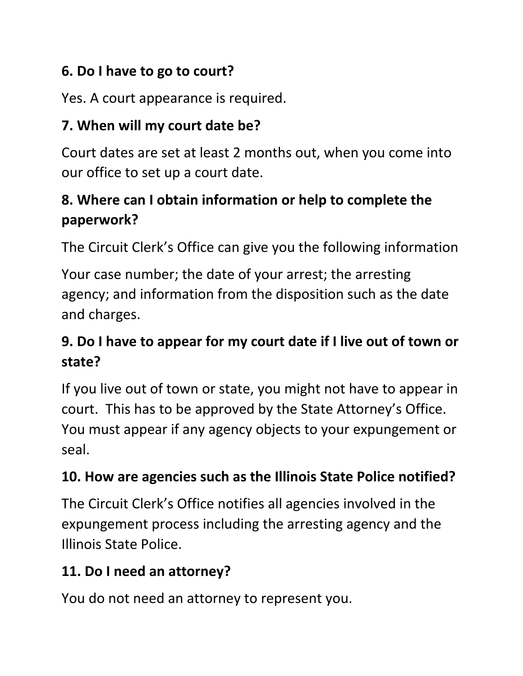## **6. Do I have to go to court?**

Yes. A court appearance is required.

## **7. When will my court date be?**

Court dates are set at least 2 months out, when you come into our office to set up a court date.

# **8. Where can I obtain information or help to complete the paperwork?**

The Circuit Clerk's Office can give you the following information

Your case number; the date of your arrest; the arresting agency; and information from the disposition such as the date and charges.

# **9. Do I have to appear for my court date if I live out of town or state?**

If you live out of town or state, you might not have to appear in court. This has to be approved by the State Attorney's Office. You must appear if any agency objects to your expungement or seal.

## **10. How are agencies such as the Illinois State Police notified?**

The Circuit Clerk's Office notifies all agencies involved in the expungement process including the arresting agency and the Illinois State Police.

## **11. Do I need an attorney?**

You do not need an attorney to represent you.